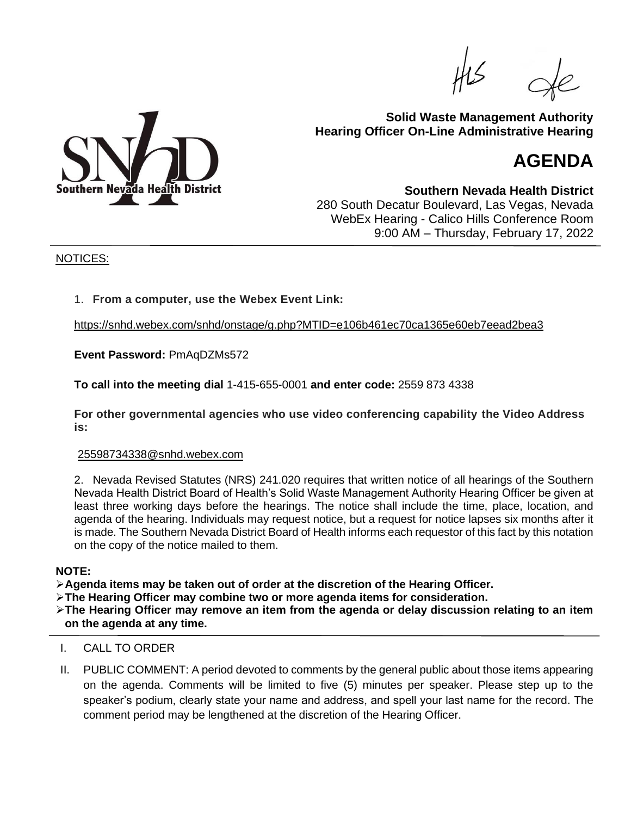

# **Solid Waste Management Authority Hearing Officer On-Line Administrative Hearing**

# **AGENDA**

**Southern Nevada Health District** 280 South Decatur Boulevard, Las Vegas, Nevada WebEx Hearing - Calico Hills Conference Room 9:00 AM – Thursday, February 17, 2022

## NOTICES:

## 1. **From a computer, use the Webex Event Link:**

<https://snhd.webex.com/snhd/onstage/g.php?MTID=e106b461ec70ca1365e60eb7eead2bea3>

**Event Password:** PmAqDZMs572

**To call into the meeting dial** 1-415-655-0001 **and enter code:** 2559 873 4338

**For other governmental agencies who use video conferencing capability the Video Address is:**

#### [25598734338@snhd.webex.com](sip:25598734338@snhd.webex.com)

2. Nevada Revised Statutes (NRS) 241.020 requires that written notice of all hearings of the Southern Nevada Health District Board of Health's Solid Waste Management Authority Hearing Officer be given at least three working days before the hearings. The notice shall include the time, place, location, and agenda of the hearing. Individuals may request notice, but a request for notice lapses six months after it is made. The Southern Nevada District Board of Health informs each requestor of this fact by this notation on the copy of the notice mailed to them.

#### **NOTE:**

➢**Agenda items may be taken out of order at the discretion of the Hearing Officer.**

➢**The Hearing Officer may combine two or more agenda items for consideration.**

➢**The Hearing Officer may remove an item from the agenda or delay discussion relating to an item on the agenda at any time.**

- I. CALL TO ORDER
- II. PUBLIC COMMENT: A period devoted to comments by the general public about those items appearing on the agenda. Comments will be limited to five (5) minutes per speaker. Please step up to the speaker's podium, clearly state your name and address, and spell your last name for the record. The comment period may be lengthened at the discretion of the Hearing Officer.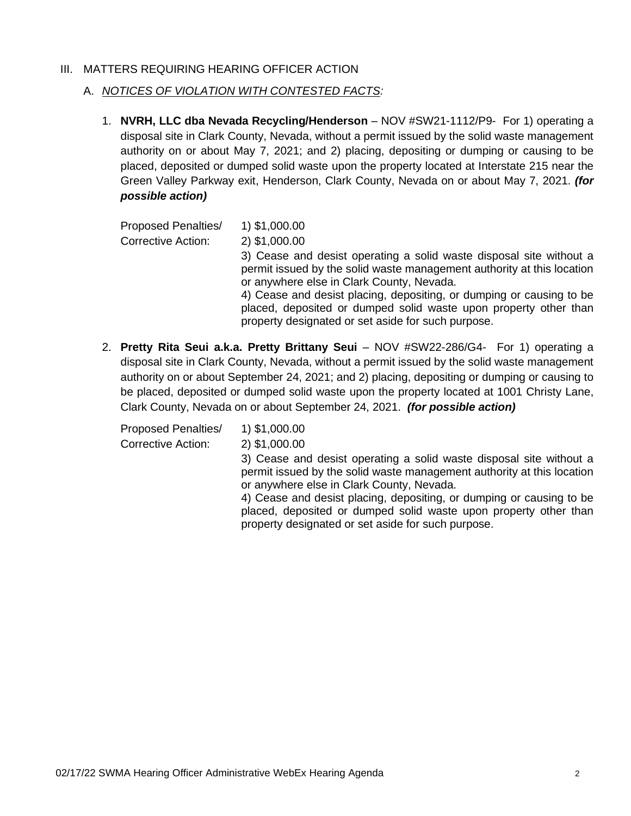## III. MATTERS REQUIRING HEARING OFFICER ACTION

## A. *NOTICES OF VIOLATION WITH CONTESTED FACTS:*

1. **NVRH, LLC dba Nevada Recycling/Henderson** – NOV #SW21-1112/P9- For 1) operating a disposal site in Clark County, Nevada, without a permit issued by the solid waste management authority on or about May 7, 2021; and 2) placing, depositing or dumping or causing to be placed, deposited or dumped solid waste upon the property located at Interstate 215 near the Green Valley Parkway exit, Henderson, Clark County, Nevada on or about May 7, 2021. *(for possible action)*

| <b>Proposed Penalties/</b> | 1) \$1,000.00                                                                                                                                                                                                                                                                                                                                                                                |
|----------------------------|----------------------------------------------------------------------------------------------------------------------------------------------------------------------------------------------------------------------------------------------------------------------------------------------------------------------------------------------------------------------------------------------|
| <b>Corrective Action:</b>  | 2) \$1,000.00                                                                                                                                                                                                                                                                                                                                                                                |
|                            | 3) Cease and desist operating a solid waste disposal site without a<br>permit issued by the solid waste management authority at this location<br>or anywhere else in Clark County, Nevada.<br>4) Cease and desist placing, depositing, or dumping or causing to be<br>placed, deposited or dumped solid waste upon property other than<br>property designated or set aside for such purpose. |

2. **Pretty Rita Seui a.k.a. Pretty Brittany Seui** – NOV #SW22-286/G4- For 1) operating a disposal site in Clark County, Nevada, without a permit issued by the solid waste management authority on or about September 24, 2021; and 2) placing, depositing or dumping or causing to be placed, deposited or dumped solid waste upon the property located at 1001 Christy Lane, Clark County, Nevada on or about September 24, 2021. *(for possible action)*

Proposed Penalties/ 1) \$1,000.00 Corrective Action: 2) \$1,000.00

3) Cease and desist operating a solid waste disposal site without a permit issued by the solid waste management authority at this location or anywhere else in Clark County, Nevada.

4) Cease and desist placing, depositing, or dumping or causing to be placed, deposited or dumped solid waste upon property other than property designated or set aside for such purpose.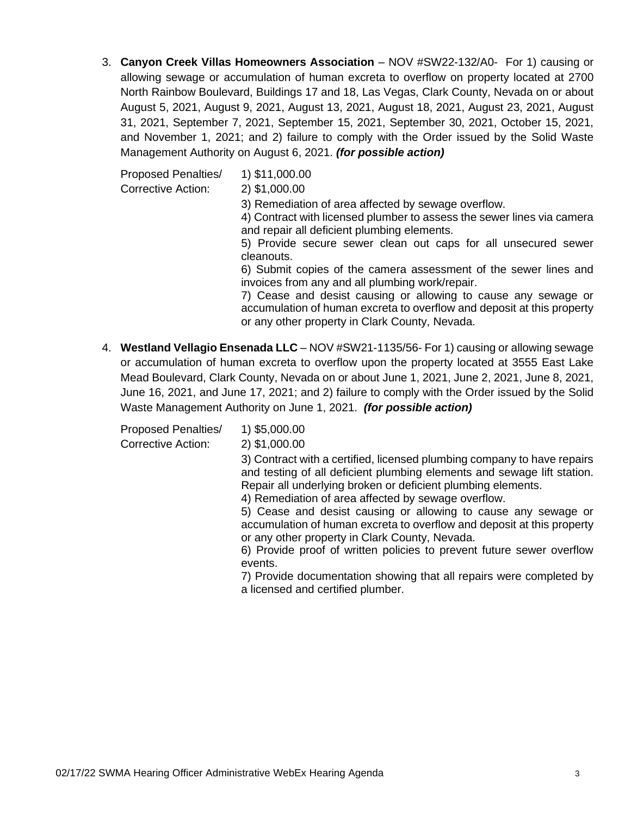3. **Canyon Creek Villas Homeowners Association** – NOV #SW22-132/A0- For 1) causing or allowing sewage or accumulation of human excreta to overflow on property located at 2700 North Rainbow Boulevard, Buildings 17 and 18, Las Vegas, Clark County, Nevada on or about August 5, 2021, August 9, 2021, August 13, 2021, August 18, 2021, August 23, 2021, August 31, 2021, September 7, 2021, September 15, 2021, September 30, 2021, October 15, 2021, and November 1, 2021; and 2) failure to comply with the Order issued by the Solid Waste Management Authority on August 6, 2021. *(for possible action)*

Proposed Penalties/ 1) \$11,000.00

Corrective Action: 2) \$1,000.00

3) Remediation of area affected by sewage overflow.

4) Contract with licensed plumber to assess the sewer lines via camera and repair all deficient plumbing elements.

5) Provide secure sewer clean out caps for all unsecured sewer cleanouts.

6) Submit copies of the camera assessment of the sewer lines and invoices from any and all plumbing work/repair.

7) Cease and desist causing or allowing to cause any sewage or accumulation of human excreta to overflow and deposit at this property or any other property in Clark County, Nevada.

4. **Westland Vellagio Ensenada LLC** – NOV #SW21-1135/56- For 1) causing or allowing sewage or accumulation of human excreta to overflow upon the property located at 3555 East Lake Mead Boulevard, Clark County, Nevada on or about June 1, 2021, June 2, 2021, June 8, 2021, June 16, 2021, and June 17, 2021; and 2) failure to comply with the Order issued by the Solid Waste Management Authority on June 1, 2021. *(for possible action)*

Proposed Penalties/ 1) \$5,000.00

Corrective Action: 2) \$1,000.00

3) Contract with a certified, licensed plumbing company to have repairs and testing of all deficient plumbing elements and sewage lift station. Repair all underlying broken or deficient plumbing elements.

4) Remediation of area affected by sewage overflow.

5) Cease and desist causing or allowing to cause any sewage or accumulation of human excreta to overflow and deposit at this property or any other property in Clark County, Nevada.

6) Provide proof of written policies to prevent future sewer overflow events.

7) Provide documentation showing that all repairs were completed by a licensed and certified plumber.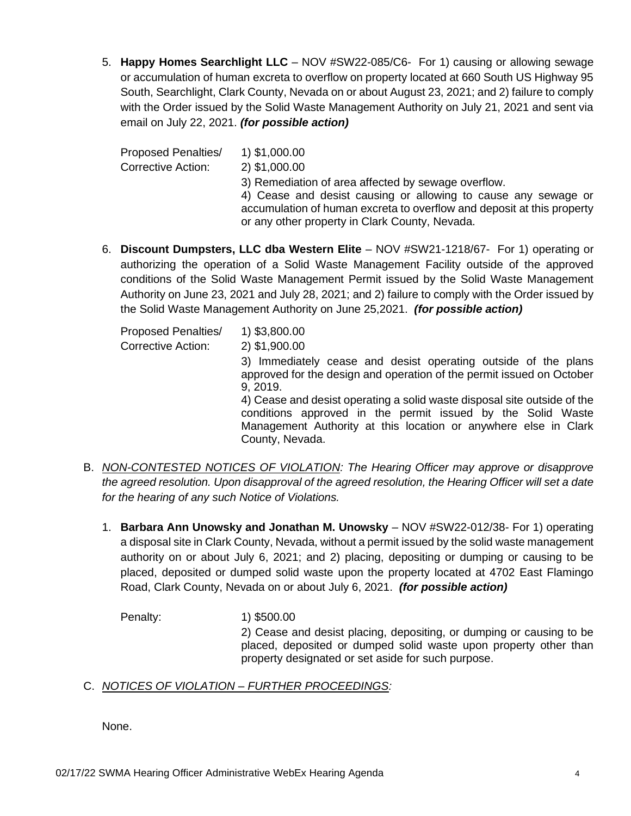5. **Happy Homes Searchlight LLC** – NOV #SW22-085/C6- For 1) causing or allowing sewage or accumulation of human excreta to overflow on property located at 660 South US Highway 95 South, Searchlight, Clark County, Nevada on or about August 23, 2021; and 2) failure to comply with the Order issued by the Solid Waste Management Authority on July 21, 2021 and sent via email on July 22, 2021. *(for possible action)*

Proposed Penalties/ 1) \$1,000.00 Corrective Action: 2) \$1,000.00 3) Remediation of area affected by sewage overflow. 4) Cease and desist causing or allowing to cause any sewage or accumulation of human excreta to overflow and deposit at this property or any other property in Clark County, Nevada.

6. **Discount Dumpsters, LLC dba Western Elite** – NOV #SW21-1218/67- For 1) operating or authorizing the operation of a Solid Waste Management Facility outside of the approved conditions of the Solid Waste Management Permit issued by the Solid Waste Management Authority on June 23, 2021 and July 28, 2021; and 2) failure to comply with the Order issued by the Solid Waste Management Authority on June 25,2021. *(for possible action)*

| <b>Proposed Penalties/</b> | 1) \$3,800.00                                                                                                                                                                                                                 |
|----------------------------|-------------------------------------------------------------------------------------------------------------------------------------------------------------------------------------------------------------------------------|
| <b>Corrective Action:</b>  | 2) \$1,900.00                                                                                                                                                                                                                 |
|                            | 3) Immediately cease and desist operating outside of the plans<br>approved for the design and operation of the permit issued on October<br>9, 2019.                                                                           |
|                            | 4) Cease and desist operating a solid waste disposal site outside of the<br>conditions approved in the permit issued by the Solid Waste<br>Management Authority at this location or anywhere else in Clark<br>County, Nevada. |

- B. *NON-CONTESTED NOTICES OF VIOLATION: The Hearing Officer may approve or disapprove the agreed resolution. Upon disapproval of the agreed resolution, the Hearing Officer will set a date for the hearing of any such Notice of Violations.*
	- 1. **Barbara Ann Unowsky and Jonathan M. Unowsky** NOV #SW22-012/38- For 1) operating a disposal site in Clark County, Nevada, without a permit issued by the solid waste management authority on or about July 6, 2021; and 2) placing, depositing or dumping or causing to be placed, deposited or dumped solid waste upon the property located at 4702 East Flamingo Road, Clark County, Nevada on or about July 6, 2021. *(for possible action)*

Penalty: 1) \$500.00 2) Cease and desist placing, depositing, or dumping or causing to be placed, deposited or dumped solid waste upon property other than property designated or set aside for such purpose.

# C. *NOTICES OF VIOLATION – FURTHER PROCEEDINGS:*

None.